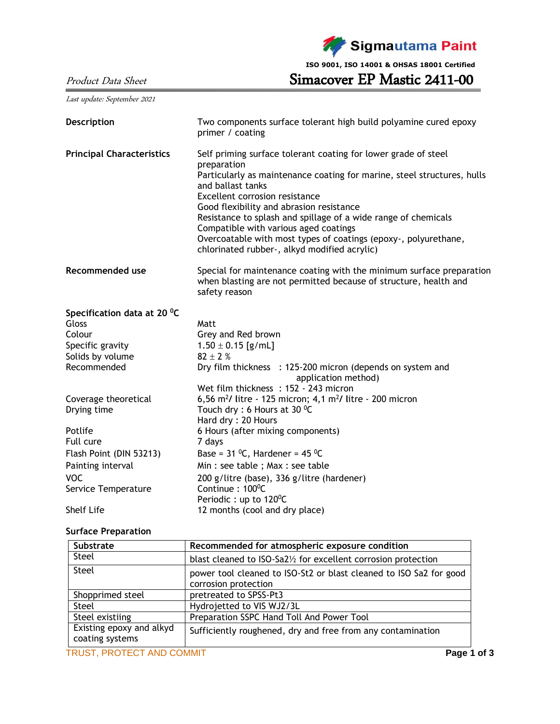Sigmautama Paint

**ISO 9001, ISO 14001 & OHSAS 18001 Certified**

Product Data Sheet Simacover EP Mastic 2411-00

Last update: September 2021

| Description                      | Two components surface tolerant high build polyamine cured epoxy<br>primer / coating                                                                                                                                                                                                                                                                                                                                                                                                      |  |  |
|----------------------------------|-------------------------------------------------------------------------------------------------------------------------------------------------------------------------------------------------------------------------------------------------------------------------------------------------------------------------------------------------------------------------------------------------------------------------------------------------------------------------------------------|--|--|
| <b>Principal Characteristics</b> | Self priming surface tolerant coating for lower grade of steel<br>preparation<br>Particularly as maintenance coating for marine, steel structures, hulls<br>and ballast tanks<br>Excellent corrosion resistance<br>Good flexibility and abrasion resistance<br>Resistance to splash and spillage of a wide range of chemicals<br>Compatible with various aged coatings<br>Overcoatable with most types of coatings (epoxy-, polyurethane,<br>chlorinated rubber-, alkyd modified acrylic) |  |  |
| <b>Recommended use</b>           | Special for maintenance coating with the minimum surface preparation<br>when blasting are not permitted because of structure, health and<br>safety reason                                                                                                                                                                                                                                                                                                                                 |  |  |
| Specification data at 20 °C      |                                                                                                                                                                                                                                                                                                                                                                                                                                                                                           |  |  |
| Gloss                            | Matt                                                                                                                                                                                                                                                                                                                                                                                                                                                                                      |  |  |
| Colour                           | Grey and Red brown                                                                                                                                                                                                                                                                                                                                                                                                                                                                        |  |  |
| Specific gravity                 | $1.50 \pm 0.15$ [g/mL]                                                                                                                                                                                                                                                                                                                                                                                                                                                                    |  |  |
| Solids by volume                 | $82 \pm 2$ %                                                                                                                                                                                                                                                                                                                                                                                                                                                                              |  |  |
| Recommended                      | Dry film thickness : 125-200 micron (depends on system and<br>application method)                                                                                                                                                                                                                                                                                                                                                                                                         |  |  |
|                                  | Wet film thickness: 152 - 243 micron                                                                                                                                                                                                                                                                                                                                                                                                                                                      |  |  |
| Coverage theoretical             | 6,56 m <sup>2</sup> / litre - 125 micron; 4,1 m <sup>2</sup> / litre - 200 micron                                                                                                                                                                                                                                                                                                                                                                                                         |  |  |
| Drying time                      | Touch dry : 6 Hours at 30 $^0$ C                                                                                                                                                                                                                                                                                                                                                                                                                                                          |  |  |
|                                  | Hard dry: 20 Hours                                                                                                                                                                                                                                                                                                                                                                                                                                                                        |  |  |
| Potlife                          | 6 Hours (after mixing components)                                                                                                                                                                                                                                                                                                                                                                                                                                                         |  |  |
| Full cure                        | 7 days                                                                                                                                                                                                                                                                                                                                                                                                                                                                                    |  |  |
| Flash Point (DIN 53213)          | Base = $31 \,^0C$ , Hardener = $45 \,^0C$                                                                                                                                                                                                                                                                                                                                                                                                                                                 |  |  |
| Painting interval                | Min : see table ; Max : see table                                                                                                                                                                                                                                                                                                                                                                                                                                                         |  |  |
| <b>VOC</b>                       | 200 g/litre (base), 336 g/litre (hardener)                                                                                                                                                                                                                                                                                                                                                                                                                                                |  |  |
| Service Temperature              | Continue: 100 <sup>°</sup> C                                                                                                                                                                                                                                                                                                                                                                                                                                                              |  |  |
|                                  | Periodic: up to 120 <sup>o</sup> C                                                                                                                                                                                                                                                                                                                                                                                                                                                        |  |  |
| <b>Shelf Life</b>                | 12 months (cool and dry place)                                                                                                                                                                                                                                                                                                                                                                                                                                                            |  |  |

## **Surface Preparation**

| Substrate                                   | Recommended for atmospheric exposure condition                                             |  |  |
|---------------------------------------------|--------------------------------------------------------------------------------------------|--|--|
| Steel                                       | blast cleaned to ISO-Sa2½ for excellent corrosion protection                               |  |  |
| Steel                                       | power tool cleaned to ISO-St2 or blast cleaned to ISO Sa2 for good<br>corrosion protection |  |  |
| Shopprimed steel                            | pretreated to SPSS-Pt3                                                                     |  |  |
| Steel                                       | Hydrojetted to VIS WJ2/3L                                                                  |  |  |
| Steel existiing                             | Preparation SSPC Hand Toll And Power Tool                                                  |  |  |
| Existing epoxy and alkyd<br>coating systems | Sufficiently roughened, dry and free from any contamination                                |  |  |
| TRUST, PROTECT AND COMMIT                   | Page 1 of 3                                                                                |  |  |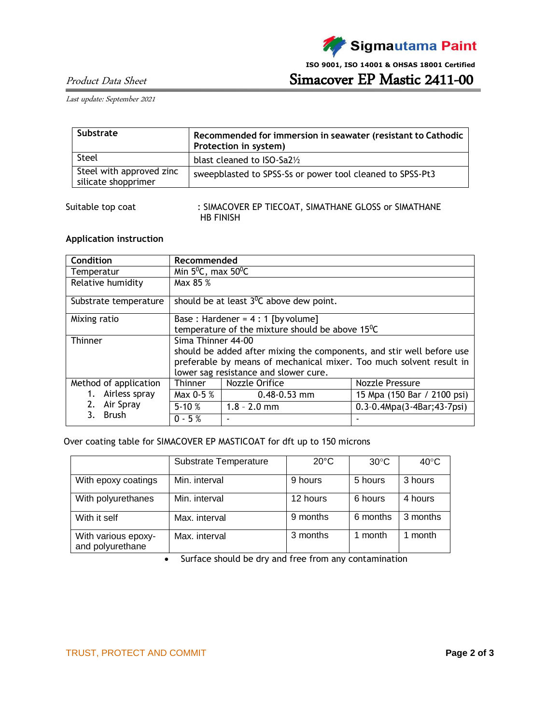

**ISO 9001, ISO 14001 & OHSAS 18001 Certified**

Product Data Sheet Simacover EP Mastic 2411-00

Last update: September 2021

| Substrate                                       | Recommended for immersion in seawater (resistant to Cathodic<br>Protection in system) |
|-------------------------------------------------|---------------------------------------------------------------------------------------|
| Steel                                           | blast cleaned to $ISO-Sa2\%$                                                          |
| Steel with approved zinc<br>silicate shopprimer | sweepblasted to SPSS-Ss or power tool cleaned to SPSS-Pt3                             |

Suitable top coat : SIMACOVER EP TIECOAT, SIMATHANE GLOSS or SIMATHANE HB FINISH

## **Application instruction**

| Condition             | Recommended                                                           |                                            |                                      |  |
|-----------------------|-----------------------------------------------------------------------|--------------------------------------------|--------------------------------------|--|
| Temperatur            | Min $5^0C$ , max $50^0C$                                              |                                            |                                      |  |
| Relative humidity     | Max 85 %                                                              |                                            |                                      |  |
| Substrate temperature |                                                                       | should be at least $3^0C$ above dew point. |                                      |  |
| Mixing ratio          | Base: Hardener = $4:1$ [by volume]                                    |                                            |                                      |  |
|                       | temperature of the mixture should be above 15°C                       |                                            |                                      |  |
| Thinner               | Sima Thinner 44-00                                                    |                                            |                                      |  |
|                       | should be added after mixing the components, and stir well before use |                                            |                                      |  |
|                       | preferable by means of mechanical mixer. Too much solvent result in   |                                            |                                      |  |
|                       | lower sag resistance and slower cure.                                 |                                            |                                      |  |
| Method of application | <b>Thinner</b>                                                        | Nozzle Orifice                             | Nozzle Pressure                      |  |
| 1. Airless spray      | Max 0-5 %                                                             | $0.48 - 0.53$ mm                           | 15 Mpa (150 Bar / 2100 psi)          |  |
| 2.<br>Air Spray       | $5 - 10%$                                                             | $1.8 - 2.0$ mm                             | $0.3 - 0.4 Mpa(3 - 4Bar; 43 - 7psi)$ |  |
| <b>Brush</b>          | $0 - 5%$                                                              |                                            |                                      |  |

Over coating table for SIMACOVER EP MASTICOAT for dft up to 150 microns

|                                         | Substrate Temperature | $20^{\circ}$ C | $30^{\circ}$ C | $40^{\circ}$ C |
|-----------------------------------------|-----------------------|----------------|----------------|----------------|
| With epoxy coatings                     | Min. interval         | 9 hours        | 5 hours        | 3 hours        |
| With polyurethanes                      | Min. interval         | 12 hours       | 6 hours        | 4 hours        |
| With it self                            | Max. interval         | 9 months       | 6 months       | 3 months       |
| With various epoxy-<br>and polyurethane | Max. interval         | 3 months       | 1 month        | month          |

• Surface should be dry and free from any contamination